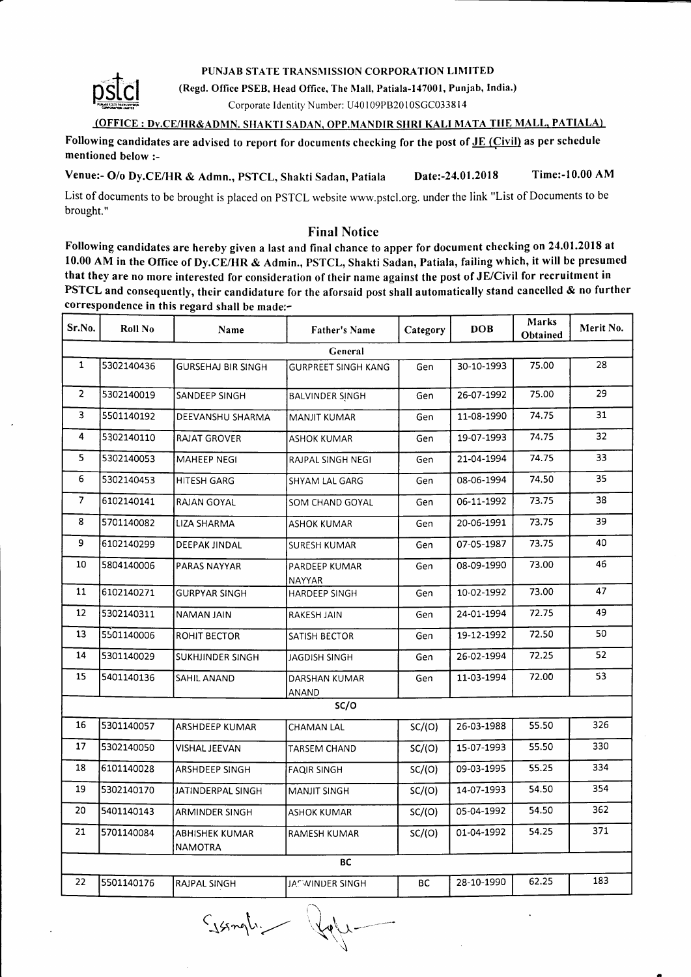

## PUNJAB STATE TRANSMISSION CORPORATION LIMITED

(Regd. Office PSEB, Head Office, The Mall, Patiala-147001, Punjab, India.)

Corporate Identity Number: U40109PB2010SGC033814

## (OFFICE : Dy.CE/HR&ADMN. SHAKTI SADAN, OPP.MANDIR SHRI KALI MATA THE MALL, PATIALA)

Following candidates are advised to report for documents checking for the post of  $E_{\text{C}}$  (Civil) as per schedule mentioned below :-

Venue:- O/o Dy.CE/HR & Admn., PSTCL, Shakti Sadan, Patiala Date:-24.01,2018 Time:-10.00 AM

List of documents to be brought is placed on PSTCL website www.pstcl.org. under the link "List of Documents to be brought. "

## Final Notice

Following candidates are hereby given a last and final chance to apper for document checking on 24.01.2018 at 10.00 AM in the Oflice of Dy.CE/HR & Admin., PSTCL, Shakti Sadan, Patiala, failing which, it will be presumcd that they are no more interested for consideration of their name against the post of JE/Civil for recruitment in PSTCL and consequently, their candidature for the aforsaid post shall automatically stand cancelled  $\&$  no further correspondence in this regard shall be made:-

| Sr.No.         | Roll No    | Name                             | <b>Father's Name</b>       | Category  | <b>DOB</b> | Marks<br>Obtained | Merit No. |  |
|----------------|------------|----------------------------------|----------------------------|-----------|------------|-------------------|-----------|--|
| General        |            |                                  |                            |           |            |                   |           |  |
| $\mathbf{1}$   | 5302140436 | <b>GURSEHAJ BIR SINGH</b>        | <b>GURPREET SINGH KANG</b> | Gen       | 30-10-1993 | 75.00             | 28        |  |
| $\overline{2}$ | 5302140019 | SANDEEP SINGH                    | <b>BALVINDER SINGH</b>     | Gen       | 26-07-1992 | 75.00             | 29        |  |
| 3              | 5501140192 | DEEVANSHU SHARMA                 | MANJIT KUMAR               | Gen       | 11-08-1990 | 74.75             | 31        |  |
| $\overline{4}$ | 5302140110 | RAJAT GROVER                     | ASHOK KUMAR                | Gen       | 19-07-1993 | 74.75             | 32        |  |
| 5              | 5302140053 | <b>MAHEEP NEGI</b>               | RAJPAL SINGH NEGI          | Gen       | 21-04-1994 | 74.75             | 33        |  |
| 6              | 5302140453 | HITESH GARG                      | SHYAM LAL GARG             | Gen       | 08-06-1994 | 74.50             | 35        |  |
| $\overline{7}$ | 6102140141 | RAJAN GOYAL                      | SOM CHAND GOYAL            | Gen       | 06-11-1992 | 73.75             | 38        |  |
| 8              | 5701140082 | LIZA SHARMA                      | ASHOK KUMAR                | Gen       | 20-06-1991 | 73.75             | 39        |  |
| 9              | 6102140299 | DEEPAK JINDAL                    | SURESH KUMAR               | Gen       | 07-05-1987 | 73.75             | 40        |  |
| 10             | 5804140006 | PARAS NAYYAR                     | PARDEEP KUMAR<br>NAYYAR    | Gen       | 08-09-1990 | 73.00             | 46        |  |
| 11             | 6102140271 | <b>GURPYAR SINGH</b>             | HARDEEP SINGH              | Gen       | 10-02-1992 | 73.00             | 47        |  |
| 12             | 5302140311 | NAMAN JAIN                       | RAKESH JAIN                | Gen       | 24-01-1994 | 72.75             | 49        |  |
| 13             | 5501140006 | ROHIT BECTOR                     | SATISH BECTOR              | Gen       | 19-12-1992 | 72.50             | 50        |  |
| 14             | 5301140029 | SUKHJINDER SINGH                 | JAGDISH SINGH              | Gen       | 26-02-1994 | 72.25             | 52        |  |
| 15             | 5401140136 | SAHIL ANAND                      | DARSHAN KUMAR<br>ANAND     | Gen       | 11-03-1994 | 72.00             | 53        |  |
| SC/O           |            |                                  |                            |           |            |                   |           |  |
| 16             | 5301140057 | ARSHDEEP KUMAR                   | <b>CHAMAN LAL</b>          | SC/(O)    | 26-03-1988 | 55.50             | 326       |  |
| 17             | 5302140050 | VISHAL JEEVAN                    | TARSEM CHAND               | SC/(O)    | 15-07-1993 | 55.50             | 330       |  |
| 18             | 6101140028 | ARSHDEEP SINGH                   | <b>FAQIR SINGH</b>         | SC/(O)    | 09-03-1995 | 55.25             | 334       |  |
| 19             | 5302140170 | JATINDERPAL SINGH                | MANJIT SINGH               | SC/(O)    | 14-07-1993 | 54.50             | 354       |  |
| 20             | 5401140143 | ARMINDER SINGH                   | <b>ASHOK KUMAR</b>         | SC/(O)    | 05-04-1992 | 54.50             | 362       |  |
| 21             | 5701140084 | ABHISHEK KUMAR<br><b>NAMOTRA</b> | RAMESH KUMAR               | SC/(O)    | 01-04-1992 | 54.25             | 371       |  |
| ВC             |            |                                  |                            |           |            |                   |           |  |
| 22             | 5501140176 | RAJPAL SINGH                     | JA: WINDER SINGH           | <b>BC</b> | 28-10-1990 | 62.25             | 183       |  |
|                |            |                                  |                            |           |            |                   |           |  |

Sungli - Roy